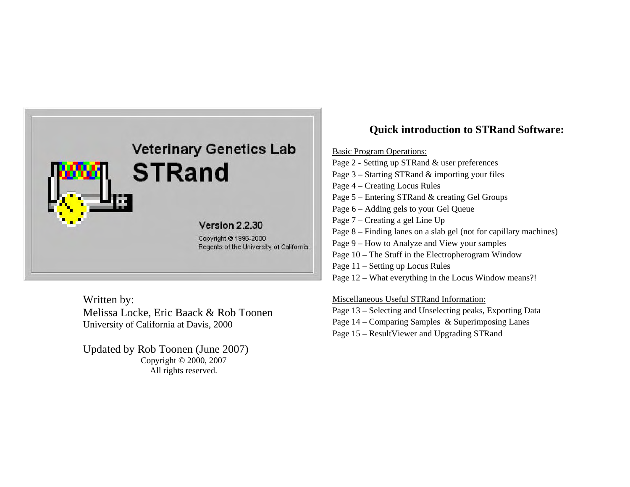

Written by: Melissa Locke, Eric Baack & Rob Toonen University of California at Davis, 2000

Updated by Rob Toonen (June 2007) Copyright © 2000, 2007 All rights reserved.

# **Quick introduction to STRand Software:**

Basic Program Operations:

Page 2 - Setting up STRand & user preferences Page 3 – Starting STRand & importing your files Page 4 – Creating Locus Rules Page 5 – Entering STRand & creating Gel Groups Page 6 – Adding gels to your Gel Queue Page 7 – Creating a gel Line Up Page 8 – Finding lanes on a slab gel (not for capillary machines) Page 9 – How to Analyze and View your samples Page 10 – The Stuff in the Electropherogram Window Page 11 – Setting up Locus Rules Page 12 – What everything in the Locus Window means?!

#### Miscellaneous Useful STRand Information:

- Page 13 Selecting and Unselecting peaks, Exporting Data
- Page 14 Comparing Samples & Superimposing Lanes
- Page 15 ResultViewer and Upgrading STRand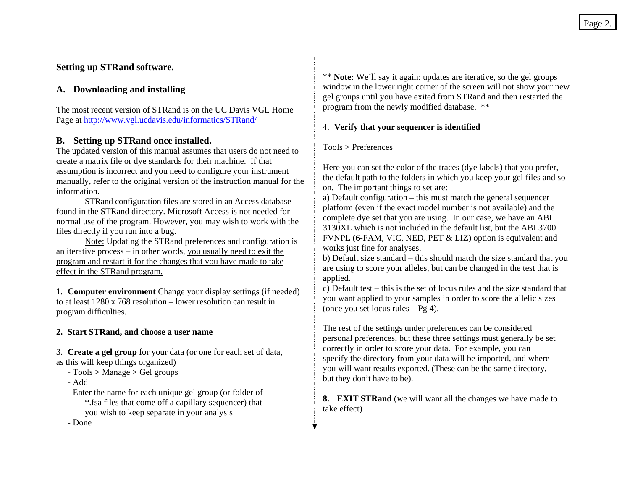# **Setting up STRand software.**

# **A. Downloading and installing**

The most recent version of STRand is on the UC Davis VGL Home Page at<http://www.vgl.ucdavis.edu/informatics/STRand/>

# **B. Setting up STRand once installed.**

The updated version of this manual assumes that users do not need to create a matrix file or dye standards for their machine. If that assumption is incorrect and you need to configure your instrument manually, refer to the original version of the instruction manual for the information.

STRand configuration files are stored in an Access database found in the STRand directory. Microsoft Access is not needed for normal use of the program. However, you may wish to work with the files directly if you run into a bug.

Note: Updating the STRand preferences and configuration is an iterative process – in other words, you usually need to exit the program and restart it for the changes that you have made to take effect in the STRand program.

1. **Computer environment** Change your display settings (if needed) to at least 1280 x 768 resolution – lower resolution can result in program difficulties.

# **2. Start STRand, and choose a user name**

3. **Create a gel group** for your data (or one for each set of data, as this will keep things organized)

- Tools > Manage > Gel groups
- Add
- Enter the name for each unique gel group (or folder of \*.fsa files that come off a capillary sequencer) that you wish to keep separate in your analysis

- Done

\*\* **Note:** We'll say it again: updates are iterative, so the gel groups window in the lower right corner of the screen will not show your new gel groups until you have exited from STRand and then restarted the program from the newly modified database. \*\*

# 4. **Verify that your sequencer is identified**

#### Tools > Preferences

Here you can set the color of the traces (dye labels) that you prefer, the default path to the folders in which you keep your gel files and so on. The important things to set are:

a) Default configuration – this must match the general sequencer platform (even if the exact model number is not available) and the complete dye set that you are using. In our case, we have an ABI 3130XL which is not included in the default list, but the ABI 3700 FVNPL (6-FAM, VIC, NED, PET & LIZ) option is equivalent and works just fine for analyses.

b) Default size standard – this should match the size standard that you are using to score your alleles, but can be changed in the test that is applied.

c) Default test – this is the set of locus rules and the size standard that you want applied to your samples in order to score the allelic sizes (once you set locus rules – Pg 4).

The rest of the settings under preferences can be considered personal preferences, but these three settings must generally be set correctly in order to score your data. For example, you can specify the directory from your data will be imported, and where you will want results exported. (These can be the same directory, but they don't have to be).

**8. EXIT STRand** (we will want all the changes we have made to take effect)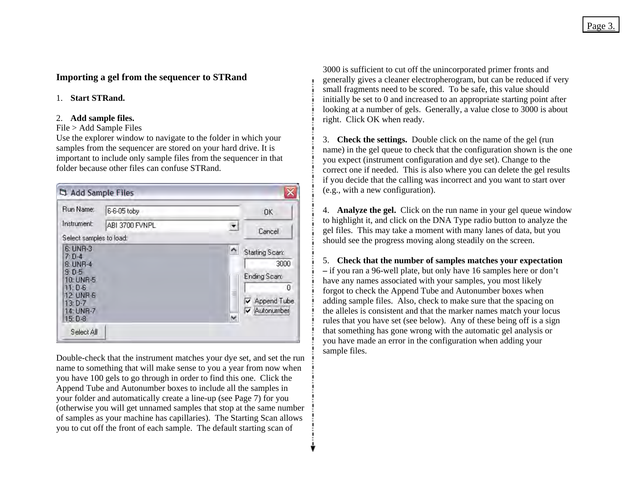# **Importing a gel from the sequencer to STRand**

#### 1. **Start STRand.**

#### 2. **Add sample files.**

#### File > Add Sample Files

Use the explorer window to navigate to the folder in which your samples from the sequencer are stored on your hard drive. It is important to include only sample files from the sequencer in that folder because other files can confuse STRand.

| Run Name:                                                                                                   | 6-6-05 toby    |        | OK                                                                       |
|-------------------------------------------------------------------------------------------------------------|----------------|--------|--------------------------------------------------------------------------|
| Instrument:                                                                                                 | ABI 3700 FVNPL | ▼      | Cancel                                                                   |
| Select samples to load:                                                                                     |                |        |                                                                          |
| 6: UNR-3<br>$7: D-4$<br>8: UNR-4<br>9: D.5<br>10: UNR-5<br>$11: D-6$<br>12: UNR-6<br>$13: D-7$<br>14: UNR-7 |                | ٨<br>≣ | Starting Scan:<br>3000<br>Ending Scan:<br>0<br>Append Tube<br>Autonumber |
| $15: D-8$                                                                                                   |                | w      |                                                                          |

Double-check that the instrument matches your dye set, and set the run name to something that will make sense to you a year from now when you have 100 gels to go through in order to find this one. Click the Append Tube and Autonumber boxes to include all the samples in your folder and automatically create a line-up (see Page 7) for you (otherwise you will get unnamed samples that stop at the same number of samples as your machine has capillaries). The Starting Scan allows you to cut off the front of each sample. The default starting scan of

3000 is sufficient to cut off the unincorporated primer fronts and generally gives a cleaner electropherogram, but can be reduced if very small fragments need to be scored. To be safe, this value should initially be set to 0 and increased to an appropriate starting point after looking at a number of gels. Generally, a value close to 3000 is about right. Click OK when ready.

3. **Check the settings.** Double click on the name of the gel (run name) in the gel queue to check that the configuration shown is the one you expect (instrument configuration and dye set). Change to the correct one if needed. This is also where you can delete the gel results if you decide that the calling was incorrect and you want to start over (e.g., with a new configuration).

4. **Analyze the gel.** Click on the run name in your gel queue window to highlight it, and click on the DNA Type radio button to analyze the gel files. This may take a moment with many lanes of data, but you should see the progress moving along steadily on the screen.

5. **Check that the number of samples matches your expectation –** if you ran a 96-well plate, but only have 16 samples here or don't have any names associated with your samples, you most likely forgot to check the Append Tube and Autonumber boxes when adding sample files. Also, check to make sure that the spacing on the alleles is consistent and that the marker names match your locus rules that you have set (see below). Any of these being off is a sign that something has gone wrong with the automatic gel analysis or you have made an error in the configuration when adding your sample files.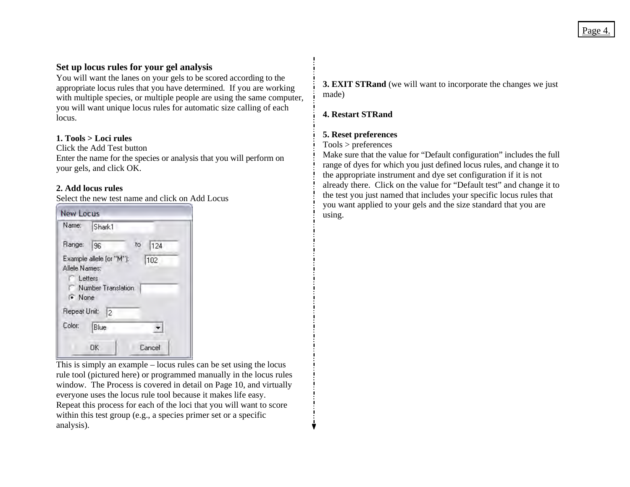## **Set up locus rules for your gel analysis**

You will want the lanes on your gels to be scored according to the appropriate locus rules that you have determined. If you are working with multiple species, or multiple people are using the same computer, you will want unique locus rules for automatic size calling of each locus.

#### **1. Tools > Loci rules**

Click the Add Test button

Enter the name for the species or analysis that you will perform on your gels, and click OK.

#### **2. Add locus rules**

Select the new test name and click on Add Locus

| Name:                         | Shark1                                                           |
|-------------------------------|------------------------------------------------------------------|
| Range:                        | to<br>124<br>96                                                  |
| Allele Names:<br>$\cdot$ None | Example allele (or "M"):<br>102<br>Letters<br>Number Translation |
| Repeat Unit:                  | 12                                                               |
| Color:                        | Blue                                                             |
|                               | Cancel<br>ΟK                                                     |

This is simply an example – locus rules can be set using the locus rule tool (pictured here) or programmed manually in the locus rules window. The Process is covered in detail on Page 10, and virtually everyone uses the locus rule tool because it makes life easy. Repeat this process for each of the loci that you will want to score within this test group (e.g., a species primer set or a specific analysis).

**3. EXIT STRand** (we will want to incorporate the changes we just made)

#### **4. Restart STRand**

#### **5. Reset preferences**

#### Tools > preferences

Make sure that the value for "Default configuration" includes the full range of dyes for which you just defined locus rules, and change it to the appropriate instrument and dye set configuration if it is not already there. Click on the value for "Default test" and change it to the test you just named that includes your specific locus rules that you want applied to your gels and the size standard that you are using.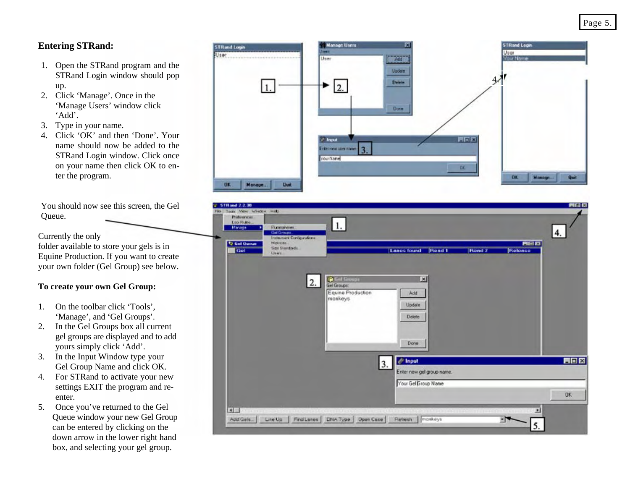# **Entering STRand:**

- 1. Open the STRand program and the STRand Login window should pop up.
- 2. Click 'Manage'. Once in the 'Manage Users' window click 'Add'.
- 3. Type in your name.
- 4. Click 'OK' and then 'Done'. Your name should now be added to the STRand Login window. Click once on your name then click OK to enter the program.

You should now see this screen, the Gel Qu eue.

Currently the only

folder available to store your gels is in Equine Production. If you want to create your own folder (Gel Group) see below.

#### **Group: To create your own Gel**

- 1. On the toolbar click 'Tools', 'Manage', and 'Gel Groups'.
- 2.. In the Gel Groups box all current gel groups are displayed and to add yours simply click 'Add'.
- 3. In the Input Window type your Gel Group Name and click OK.
- 4. For STRand to activate your new settings EXIT the program and reenter.
- 5. Once you've returned to the Gel Queue window your new Gel Group can be entered by clicking on the down arrow in the lower right hand . box, and selecting your gel group



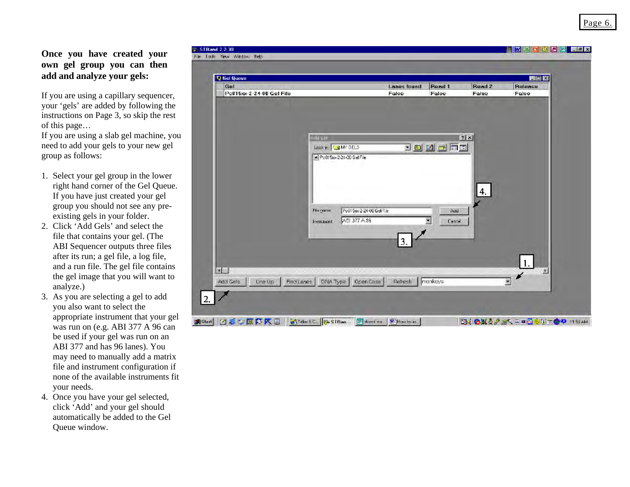alian itaaliya limita i

**Once you have created your own gel group you can then add and analyze your gels:** 

your 'gels' are added by following the instructions on Page 3, so skip the rest If you are using a capillary sequencer, of this page…

If you are using a slab gel machine, you nee d to add your gels to your new gel group as follows:

- 1. Select your gel group in the lower right hand corner of the Gel Queue. If you have just created your gel group you should not see any preexisting gels in your folder.
- 2. Click 'Add Gels' and select the and a run file. The gel file contains the gel image that you will want to analyze.) file that contains your gel. (The ABI Sequencer outputs three files after its run; a gel file, a log file,
- 3. As you are selecting a gel to add you also want to select the appropriate instrument that your gel was run on (e.g. ABI 377 A 96 can be used if your gel was run on an ABI 377 and has 96 lanes). You may need to manually add a matrix file and instrument configuration if none of the available instruments fit your needs.
- 4. Once you have your gel selected, click 'Add' and your gel should automatically be added to the Gel Queue window.

| Q Gel Queue<br>Gel<br>Pc815xx-2-24-00 Gel File |                                             |                                   | <b>Lanes found</b><br>False | Rund 1<br>False | Read 2<br>False | EER<br><b>Release</b><br>False |
|------------------------------------------------|---------------------------------------------|-----------------------------------|-----------------------------|-----------------|-----------------|--------------------------------|
|                                                |                                             |                                   |                             |                 |                 |                                |
|                                                |                                             |                                   |                             |                 |                 |                                |
|                                                | <b>Hag off</b><br>Look yi <b>Ja MY GELS</b> |                                   |                             | 2回到台网图          | 7x              |                                |
|                                                |                                             | all PoBI 5w-2-24-00 Gel File      |                             |                 |                 |                                |
|                                                |                                             |                                   |                             |                 |                 |                                |
|                                                |                                             |                                   |                             |                 | 4.              |                                |
|                                                | Flamana                                     | Po91 See 2-24-00 Gel File         |                             | Add             |                 |                                |
|                                                | Insurance to                                | ABI 377 A 36                      |                             | ¥,<br>Cancel    |                 |                                |
|                                                |                                             |                                   | 3.                          |                 |                 |                                |
|                                                |                                             |                                   |                             |                 |                 |                                |
| $\blacksquare$                                 |                                             |                                   |                             |                 |                 | 1.<br>٠                        |
| Line Up<br>Add Gels.                           |                                             | Find Lanes   DNA Type   Open Case | Refresh                     | mankeys         |                 | ×                              |
|                                                |                                             |                                   |                             |                 |                 |                                |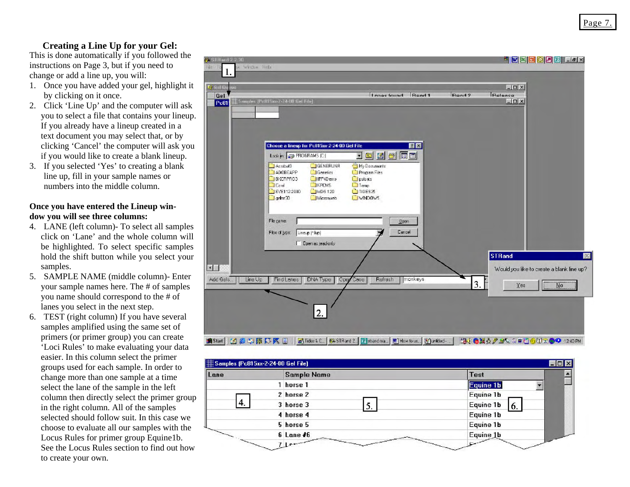### **Creating a Line Up for your Gel:**

This is done automatically if you followed the ins tructions on Page 3, but if you need to cha nge or add a line up, you will:

- 1. Once you have added your gel, highlight it by clicking on it once.
- 2. Click 'Line Up' and the computer will ask you to select a file that contains your lineup. clicking 'Cancel' the computer will ask you if you would like to create a blank lineup. If you already have a lineup created in a text document you may select that, or by
- 3. If you selected 'Yes' to creating a blank line up, fill in your sample names or numbers into the middle column.

#### **Once you have entered the Lineup window y ou will see three columns:**

- 4. LANE (left column) To select all samples click on 'Lane' and the whole column will be highlighted. To select specific samples hold the shift button while you select your samples.
- 5. SAMPLE NAME (middle column)- Enter yo ur sample names here. The # of samples you name should correspond to the # of lanes you select in the next step.
- 6. TEST (right column) If you have several sa mples amplified using the same set of primers (or primer group) you can create 'Loci Rules' to make evaluating your data eas ier. In this column select the primer gro ups used for each sample. In order to change more than one sample at a time sel ect the lane of the sample in the left column then directly select the primer group selected should follow suit. In this case we choose to evaluate all our samples with the Locus Rules for primer group Equine1b. See the Locus Rules section to find out how to create your own. in the right column. All of the samples

| S. STRand 2.2-70<br>鼬<br>$\mathbf{1}$ | <b>THE EXPERIMENT</b><br>Wedne Hell                                                                                                                                                                                                                                                                                                                                                                        |                |
|---------------------------------------|------------------------------------------------------------------------------------------------------------------------------------------------------------------------------------------------------------------------------------------------------------------------------------------------------------------------------------------------------------------------------------------------------------|----------------|
| Q and Q<br>Gel<br>Pc81                | $-10 \times$<br>Release<br>Rend 9<br>Lange found Road 1<br>5 Semples (Pelli Son-2-24-00 fiel File)<br>$ \Box$ $\times$                                                                                                                                                                                                                                                                                     |                |
|                                       | <b>EX</b><br>Choose a lineup for Pc815ax-2-24-00 Gel File<br>同国<br>Lookiy: 3 FROGRAMS [C]<br>E<br>团<br>$\Box$<br>画<br>GENERUNA<br><b>Electrical</b><br>My Documents<br>ADOBEAPP<br><b>C</b> Program Files<br>Genetics<br>BVCRPR03<br>IFF4Deno<br><b>Outs</b> part of the<br><b>EXFOMS</b><br>$T$ Carel<br><b>Temp</b><br>MDS 120<br>JEVE112-2000<br>$C$ 110ES25<br>Micronveb<br><b>CIVINDOWS</b><br>gehr30 |                |
|                                       | Fle pane:<br><b>Upon</b><br>Cancel<br>Flee of Lype<br>Lineup (* lup)<br>Dpen as jead-only<br><b>STRand</b>                                                                                                                                                                                                                                                                                                 | $\mathbbmss{}$ |
| $\epsilon$<br>Add Gals                | Would you like to create a blank line up?<br>monkeys<br>DNA Type<br>Refresh<br>Line Up<br><b>Find Langs</b><br>Opey<br>Case<br>3.<br>N <sub>o</sub><br>Yes<br>2.                                                                                                                                                                                                                                           |                |

| Lane          | <b>Sample Name</b> | <b>Test</b>     |
|---------------|--------------------|-----------------|
|               | 1 horse 1          | Equine 1b       |
|               | 2 horse 2          | Equine 1b       |
| <sup>4.</sup> | 3 horse 3          | Equine 1b<br>6. |
|               | 4 horse 4          | Equine 1b       |
|               | 5 horse 5          | Equine 1b       |
|               | $6$ Lane $#6$      | Equine 1b       |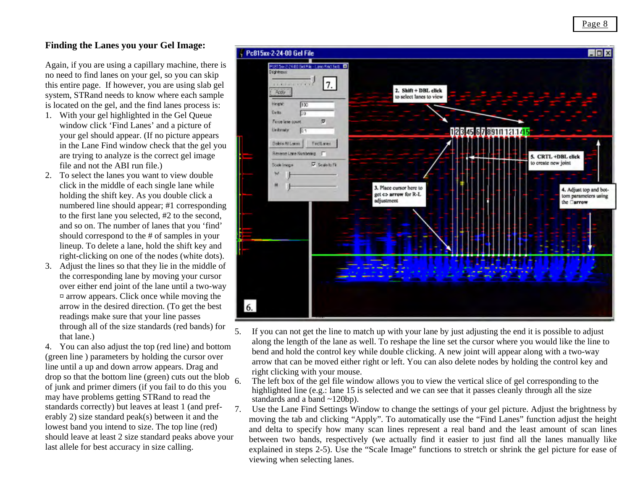# **Finding the Lanes you your Gel Image:**

Again, if you are using a capillary machine, there is no need to find lanes on your gel, so you can skip this entire page. If however, you are using slab gel system, STRand needs to know where each sample is located on the gel, and the find lanes process is:

- 1. With your gel highlighted in the Gel Queue window click 'Find Lanes' and a picture of your gel should appear. (If no picture appears in the Lane Find window check that the gel you are trying to analyze is the correct gel image file and not the ABI run file.)
- 2. To select the lanes you want to view double click in the middle of each single lane while holding the shift key. As you double click a numbered line should appear; #1 corresponding to the first lane you selected, #2 to the second, and so on. The number of lanes that you 'find' should correspond to the # of samples in your lineup. To delete a lane, hold the shift key and right-clicking on one of the nodes (white dots).
- 3. Adjust the lines so that they lie in the middle of the corresponding lane by moving your cursor over either end joint of the lane until a two-way  $\alpha$  arrow appears. Click once while moving the arrow in the desired direction. (To get the best readings make sure that your line passes through all of the size standards (red bands) for that lane.)

4. You can also adjust the top (red line) and bottom (green line) parameters by holding the cursor over line until a up and down arrow appears. Drag and drop so that the bottom line (green) cuts out the blob of junk and primer dimers (if you fail to do this you may have problems getting STRand to read the standards correctly) but leaves at least 1 (and preferably 2) size standard peak(s) between it and the lowest band you intend to size. The top line (red) should leave at least 2 size standard peaks above your last allele for best accuracy in size calling. 6.7.



5. If you can not get the line to match up with your lane by just adjusting the end it is possible to adjust along the length of the lane as well. To reshape the line set the cursor where you would like the line to bend and hold the control key while double clicking. A new joint will appear along with a two-way arrow that can be moved either right or left. You can also delete nodes by holding the control key and right clicking with your mouse.

 The left box of the gel file window allows you to view the vertical slice of gel corresponding to the highlighted line (e.g.: lane 15 is selected and we can see that it passes cleanly through all the size standards and a band ~120bp).

 Use the Lane Find Settings Window to change the settings of your gel picture. Adjust the brightness by moving the tab and clicking "Apply". To automatically use the "Find Lanes" function adjust the height and delta to specify how many scan lines represent a real band and the least amount of scan lines between two bands, respectively (we actually find it easier to just find all the lanes manually like explained in steps 2-5). Use the "Scale Image" functions to stretch or shrink the gel picture for ease of viewing when selecting lanes.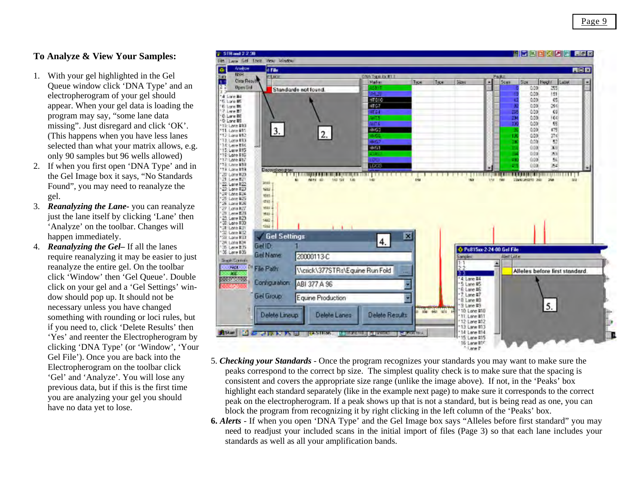### **To Analyze & View Your Samples:**

- 1. With your gel highlighted in the Gel (T his happens when you have less lanes sel ected than what your matrix allows, e.g. only 90 samples but 96 wells allowed) Queue window click 'DNA Type' and an electropherogram of your gel should appear. When your gel data is loading the program may say, "some lane data missing". Just disregard and click 'OK'.
- 2. If when you first open 'DNA Type' and in gel . the Gel Image box it says, "No Standards Found", you may need to reanalyze the
- 3. *Re analyzing the Lane-* you can reanalyze jus t the lane itself by clicking 'Lane' then 'A nalyze' on the toolbar. Changes will ha ppen immediately.
- 4. *Reanalyzing the Gel–* If all the lanes req uire reanalyzing it may be easier to just cli ck on your gel and a 'Gel Settings' windo w should pop up. It should not be necessary unless you have changed something with rounding or loci rules, but if you need to, click 'Delete Results' then reanalyze the entire gel. On the toolbar click 'Window' then 'Gel Queue'. Double 'Yes' and reenter the Electropherogram by clicking 'DNA Type' (or 'Window', 'Your Gel File'). Once you are back into the Electropherogram on the toolbar click 'Gel' and 'Analyze'. You will lose any previous data, but if this is the first time you are analyzing your gel you should have no data yet to lose.



- 5. *C heckin g your Standards* Once the program recognizes your standards you may want to make sure the consistent and covers the appropriate size range (unlike the image above). If not, in the 'Peaks' box highlight each standard separately (like in the example next page) to make sure it corresponds to the correct peaks c orrespond to the correct bp size. The simplest quality check is to make sure that the spacing is peak o n the electropherogram. If a peak shows up that is not a standard, but is being read as one, you can block the program from recognizing it by right clicking in the left column of the 'Peaks' box.
- **6.**  *Alerts* If when you open 'DNA Type' and the Gel Image box says "Alleles before first standard" you may stan da rds as well as all your amplification bands. need to readjust your included scans in the initial import of files (Page 3) so that each lane includes your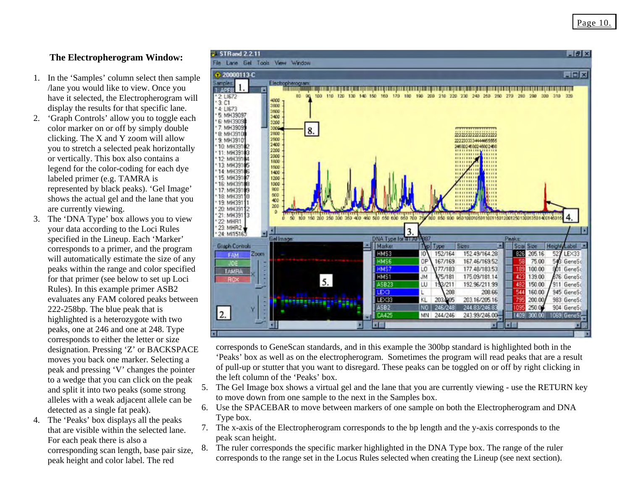# **The Electropherogram Window:**

- 1. In the 'Samples' column select then sample have it selected, the Electropherogram will /lane you would like to view. Once you display the results for that specific lane.
- 2. 'Graph Controls' allow you to toggle each shows the actual gel and the lane that you color marker on or off by simply double clicking. The X and Y zoom will allow you to stretch a selected peak horizontally or vertically. This box also contains a legend for the color-coding for each dye labeled primer (e.g. TAMRA is represented by black peaks). 'Gel Image' are currently viewing.
- specified in the Lineup. Each 'Marker' corresponds to a primer, and the program peaks within the range and color specified peak and pressing 'V' changes the pointer to a wedge that you can click on the peak detected as a single fat peak). 3. The 'DNA Type' box allows you to view your data according to the Loci Rules will automatically estimate the size of any for that primer (see below to set up Loci Rules). In this example primer ASB2 evaluates any FAM colored peaks between 222-258bp. The blue peak that is highlighted is a heterozygote with two peaks, one at 246 and one at 248. Type corresponds to either the letter or size designation. Pressing 'Z' or BACKSPACE moves you back one marker. Selecting a and split it into two peaks (some strong alleles with a weak adjacent allele can be
- 4. The 'Peaks' box displays all the peaks that are visible within the selected lane. For each peak there is also a corresponding scan length, base pair size, peak height and color label. The red



corresponds to GeneScan standards, and in this example the 300bp standard is highlighted both in the 'Peaks' box as well as on the electropherogram. Sometimes the program will read peaks that are a result the left column of the 'Peaks' box. of pull-up or stutter that you want to disregard. These peaks can be toggled on or off by right clicking in

- 5. Th e Gel Image box shows a virtual gel and the lane that you are currently viewing - use the RETURN key to move down from one sample to the next in the Samples box.
- 6. Use the SPACEBAR to move between markers of one sample on both the Electropherogram and DNA Type box.
- 7. The x-axis of the Electropherogram corresponds to the bp length and the y-axis corresponds to the pe ak scan height.
- 8.The ruler corresponds the specific marker highlighted in the DNA Type box. The range of the ruler 1. The red corresponds to the range set in the Locus Rules selected when creating the Lineup (see next section).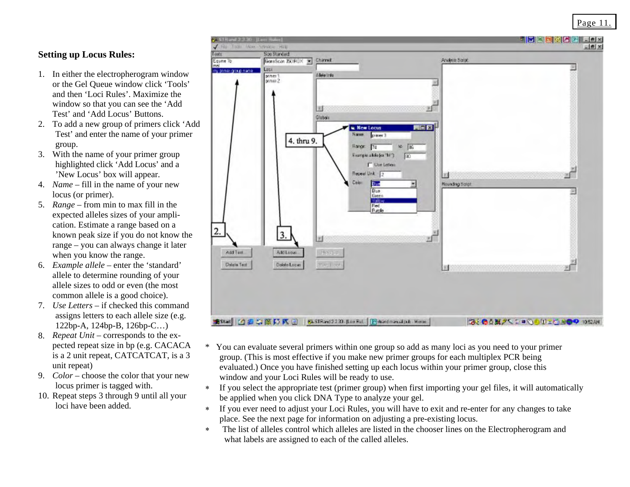# **Setting up Locus Rules:**

- 1. In either the electropherogram window or the Gel Queue window click 'Tools' and then 'Loci Rules'. Maximize the window so that you can see the 'Add Test' and 'Add Locus' Buttons.
- 2. To add a new group of primers click 'Add Test' and enter the name of your primer group.
- 3. With the name of your primer group highlighted click 'Add Locus' and a 'New Locus' box will appear.
- 4. *Name* fill in the name of your new locus (or primer).
- 5. *Range* from min to max fill in the expected alleles sizes of your ampliknown peak size if you do not know the cation. Estimate a range based on a range – you can always change it later when you know the range.
- 6. *Example allele* enter the 'standard' allele to determine rounding of your allele sizes to odd or even (the most common allele is a good choice).
- 7. *Use Letters* if checked this command assigns letters to each allele size (e.g. 122bp-A, 124bp-B, 126bp-C…)
- 8. *Repeat Unit* corresponds to the expected repeat size in bp (e.g. CACACA is a 2 unit repeat, CATCATCAT, is a 3 unit repeat)
- 9. *Color* choose the color that your new locus primer is tagged with.
- 10 . Repeat steps 3 through 9 until all your loci have been added.



- \* You can evaluate several primers within one group so add as many loci as you need to your primer group. (This is most effective if you make new primer groups for each multiplex PCR being evaluated.) Once you have finished setting up each locus within your primer group, close this window and your Loci Rules will be ready to use.
- ∗ If you select the appropriate test (primer group) when first importing your gel files, it will automatically be applied when you click DNA Type to analyze your gel.
- ∗ If you ever need to adjust your Loci Rules, you will have to exit and re-enter for any changes to take place. See the next page for information on adjusting a pre-existing locus.
- ∗ The list of alleles control which alleles are listed in the chooser lines on the Electropherogram and what labels are assigned to each of the called alleles.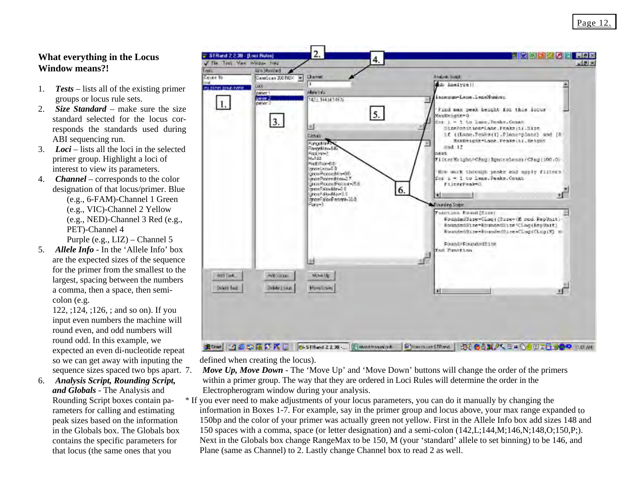# **What everything in the L ocus Window means?!**

- 1.*Tests –* lists all of the existing primer groups or locus rule sets.
- 2.*Size Standard* make sure the size standard selected for the locus corresponds the standards used during ABI sequencing run.
- 3. *Loci* lists all the loci in the selected primer group. Highlight a loci of interest to view its parameters.
- 4. *Channel* corresponds to the color (e.g., 6-FAM)-Channel 1 Green designation of that locus/primer. Blue (e.g., VIC)-Channel 2 Yellow (e.g., NED)-Channel 3 Red (e.g., PET)-Channel 4

Purple (e.g., LIZ) – Channel 5

5.*Allele Info -* In the 'Allele Info' box are the expected sizes of the sequence for the primer from the smallest to the largest, spacing between the numbers a comma, then a space, then semicolon (e.g.

sequence sizes spaced two bps apart. 7. 122, ;124, ;126, ; and so on). If you input even numbers the machine will round even, and odd numbers will round odd. In this example, we expected an even di-nucleotide repeat so we can get away with inputing the

 and *and Globals -* The Analysis Rounding Script boxes contain pa-<br>rameters for calling and estimating peak sizes based on the information in the Globals box. The Globals box contains the specific parameters for that locus (the same ones that you 6. *Analysis Script, Rounding Script,*  Rounding Script boxes contain pa-



defined when creating the locus).

- *Move Up, Move Down* The 'Move Up' and 'Move Down' buttons will change the order of the primers within a primer group. The way that they are ordered in Loci Rules will determine the order in the Electropherogram window during your analysis.
- If you ever need to make adjustments of your locus parameters, you can do it manually by changing the information in Boxes 1-7. For example, say in the primer group and locus above, your max range expanded to 150bp and the color of your primer was actually green not yellow. First in the Allele Info box add sizes 148 and 150 spaces with a comma, space (or letter designation) and a semi-colon  $(142, L; 144, M; 146, N; 148, O; 150, P; )$ . Next in the Globals box change RangeMax to be 150, M (your 'standard' allele to set binning) to be 146, and Plane (same as Channel) to 2. Lastly change Channel box to read 2 as well.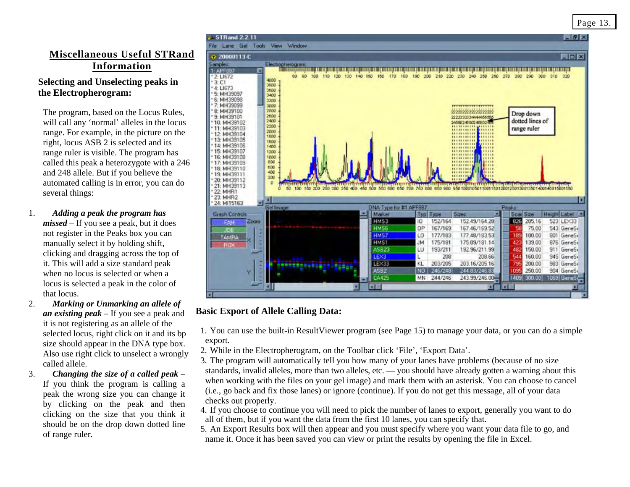# **Miscellaneous Useful STRand Information**

# **Selecting and Unselecting peaks in the Electropherogram:**

will call any 'normal' alleles in the locus ra nge. For example, in the picture on the right, locus ASB 2 is selected and its called this peak a heterozygote with a 246 and 248 allele. But if you believe the several things: The program, based on the Locus Rules, range ruler is visible. The program has automated calling is in error, you can do

- 1. *Add ing a peak the program has missed –* If you see a peak, but it does not register in the Peaks box you can manua lly select it by holding shift, it. This will add a size standard peak when no locus is selected or when a lo cus is selected a peak in the color of that locus. clicking and dragging across the top of
- 2. *Unmarking an allele of Marking or an existing peak* – If you see a peak and it is not registering as an allele of the selected locus, right click on it and its bp size should appear in the DNA type box. Al so use right click to unselect a wrongly called allele.
- 3.If you think the program is calling a peak the wrong size you can change it by clicking on the peak and then clicking on the size that you think it should be on the drop down dotted line of range ruler.



# **Basic Export of Allele Calling Data:**

1. You can use the built-in ResultViewer program (see Page 15) to manage your data, or you can do a simple export.

- 2. While in the Electropherogram, on the Toolbar click 'File', 'Export Data'.
- 3. The program will automatically tell you how many of your lanes have problems (because of no size is *Changing the size of a called peak*  $-$  standards, invalid alleles, more than two alleles, etc. — you should have already gotten a warning about this vou think the program is calling a when working with the files on your (i.e., go back and fix those lanes) or ignore (continue). If you do not get this message, all of your data checks out properly.
	- 4. If you choose to continue you will need to pick the number of lanes to export, generally you want to do all of them, but if you want the data from the first 10 lanes, you can specify that.
	- 5. An Export Results box will then appear and you must specify where you want your data file to go, and name it. Once it has been saved you can view or print the results by opening the file in Excel.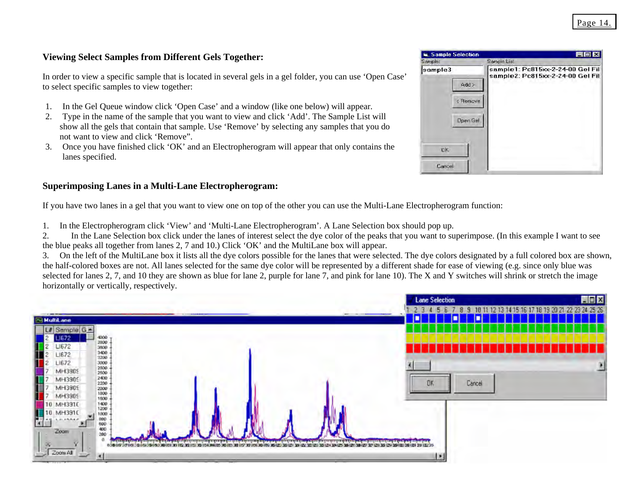### **V iewing Select Samples from Different Gels Together:**

In order to view a specific sample that is located in several gels in a gel folder, you can use 'Open Case' to select specific samples to view together:

- 1. In the Gel Queue window click 'Open Case' and a window (like one below) will appear.
- 2. Type in the name of the sample that you want to view and click 'Add'. The Sample List will show all the gels that contain that sample. Use 'Remove' by selecting any samples that you do . not want to view and click 'Remove"
- 3. Once you have finished click 'OK' and an Electropherogram will appear that only contains the lanes specified.

#### Superimposing Lanes in a Multi-Lane Electropherogram:

If you have two lanes in a gel that you want to view one on top of the other you can use the Multi-Lane Electropherogram function:

- . In the Electropherogram click 'View' and 'Multi-Lane Electropherogram'. A Lane Selection box should pop up. 1.
- In the Lane Selection box click under the lanes of interest select the dye color of the peaks that you want to superimpose. (In this example I want to see the blue peaks all together from lanes 2, 7 and 10.) Click  $'OK'$  and the MultiLane box will appear. 2.

. On the left of the MultiLane box it lists all the dye colors possible for the lanes that were selected. The dye colors designated by a full colored box are shown, the half-colored boxes are not. All lanes selected for the same dye color will be represented by a different shade for ease of viewing (e.g. since only blue was selected for lanes 2, 7, and 10 they are shown as blue for lane 2, purple for lane 7, and pink for lane 10). The X and Y switches will shrink or stretch the image 3.horizontally or vertically, respectively.



| Sample Selection<br>Sample:                   | <b>El M</b><br>Sample List                                           |
|-----------------------------------------------|----------------------------------------------------------------------|
| sample3<br>Add<br>< Remove<br><b>Dpen Gel</b> | sample1: Pc815xx-2-24-00 Gel Fil<br>sample2: Pc815xx-2-24-00 Gel Fil |
| OK                                            |                                                                      |
| Cancel                                        |                                                                      |